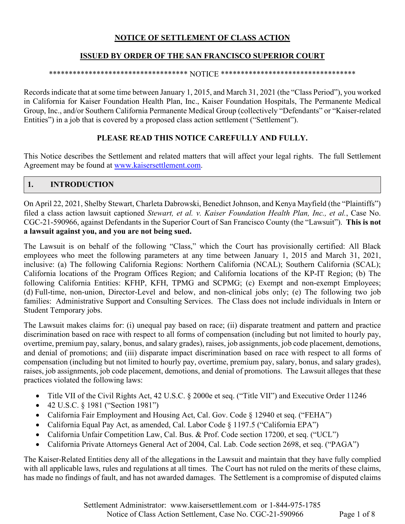## **NOTICE OF SETTLEMENT OF CLASS ACTION**

### **ISSUED BY ORDER OF THE SAN FRANCISCO SUPERIOR COURT**

#### \*\*\*\*\*\*\*\*\*\*\*\*\*\*\*\*\*\*\*\*\*\*\*\*\*\*\*\*\*\*\*\*\*\*\* NOTICE \*\*\*\*\*\*\*\*\*\*\*\*\*\*\*\*\*\*\*\*\*\*\*\*\*\*\*\*\*\*\*\*\*\*

Records indicate that at some time between January 1, 2015, and March 31, 2021 (the "Class Period"), you worked in California for Kaiser Foundation Health Plan, Inc., Kaiser Foundation Hospitals, The Permanente Medical Group, Inc., and/or Southern California Permanente Medical Group (collectively "Defendants" or "Kaiser-related Entities") in a job that is covered by a proposed class action settlement ("Settlement").

### **PLEASE READ THIS NOTICE CAREFULLY AND FULLY.**

This Notice describes the Settlement and related matters that will affect your legal rights. The full Settlement Agreement may be found at www.kaisersettlement.com.

## **1. INTRODUCTION**

On April 22, 2021, Shelby Stewart, Charleta Dabrowski, Benedict Johnson, and Kenya Mayfield (the "Plaintiffs") filed a class action lawsuit captioned *Stewart, et al. v. Kaiser Foundation Health Plan, Inc., et al.*, Case No. CGC-21-590966, against Defendants in the Superior Court of San Francisco County (the "Lawsuit"). **This is not a lawsuit against you, and you are not being sued.** 

The Lawsuit is on behalf of the following "Class," which the Court has provisionally certified: All Black employees who meet the following parameters at any time between January 1, 2015 and March 31, 2021, inclusive: (a) The following California Regions: Northern California (NCAL); Southern California (SCAL); California locations of the Program Offices Region; and California locations of the KP-IT Region; (b) The following California Entities: KFHP, KFH, TPMG and SCPMG; (c) Exempt and non-exempt Employees; (d) Full-time, non-union, Director-Level and below, and non-clinical jobs only; (e) The following two job families: Administrative Support and Consulting Services. The Class does not include individuals in Intern or Student Temporary jobs.

The Lawsuit makes claims for: (i) unequal pay based on race; (ii) disparate treatment and pattern and practice discrimination based on race with respect to all forms of compensation (including but not limited to hourly pay, overtime, premium pay, salary, bonus, and salary grades), raises, job assignments, job code placement, demotions, and denial of promotions; and (iii) disparate impact discrimination based on race with respect to all forms of compensation (including but not limited to hourly pay, overtime, premium pay, salary, bonus, and salary grades), raises, job assignments, job code placement, demotions, and denial of promotions. The Lawsuit alleges that these practices violated the following laws:

- Title VII of the Civil Rights Act, 42 U.S.C. § 2000e et seq. ("Title VII") and Executive Order 11246
- 42 U.S.C. § 1981 ("Section 1981")
- California Fair Employment and Housing Act, Cal. Gov. Code § 12940 et seq. ("FEHA")
- California Equal Pay Act, as amended, Cal. Labor Code § 1197.5 ("California EPA")
- California Unfair Competition Law, Cal. Bus. & Prof. Code section 17200, et seq. ("UCL")
- California Private Attorneys General Act of 2004, Cal. Lab. Code section 2698, et seq. ("PAGA")

The Kaiser-Related Entities deny all of the allegations in the Lawsuit and maintain that they have fully complied with all applicable laws, rules and regulations at all times. The Court has not ruled on the merits of these claims, has made no findings of fault, and has not awarded damages. The Settlement is a compromise of disputed claims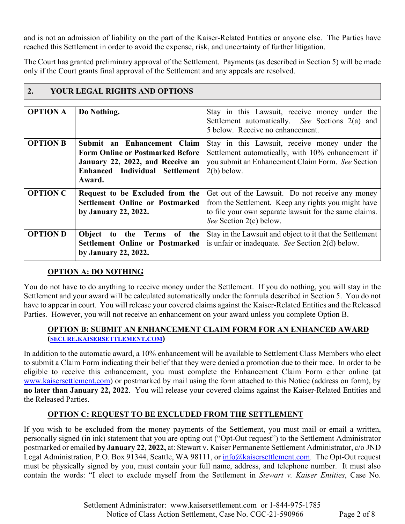and is not an admission of liability on the part of the Kaiser-Related Entities or anyone else. The Parties have reached this Settlement in order to avoid the expense, risk, and uncertainty of further litigation.

The Court has granted preliminary approval of the Settlement. Payments (as described in Section 5) will be made only if the Court grants final approval of the Settlement and any appeals are resolved.

| <b>OPTION A</b> | Do Nothing.                                                                                                                                            | Stay in this Lawsuit, receive money under the<br>Settlement automatically. See Sections 2(a) and<br>5 below. Receive no enhancement.                                                         |
|-----------------|--------------------------------------------------------------------------------------------------------------------------------------------------------|----------------------------------------------------------------------------------------------------------------------------------------------------------------------------------------------|
| <b>OPTION B</b> | Submit an Enhancement Claim<br><b>Form Online or Postmarked Before</b><br>January 22, 2022, and Receive an<br>Enhanced Individual Settlement<br>Award. | Stay in this Lawsuit, receive money under the<br>Settlement automatically, with 10% enhancement if<br>you submit an Enhancement Claim Form. See Section<br>$2(b)$ below.                     |
| <b>OPTION C</b> | Request to be Excluded from the<br>Settlement Online or Postmarked<br>by January 22, 2022.                                                             | Get out of the Lawsuit. Do not receive any money<br>from the Settlement. Keep any rights you might have<br>to file your own separate lawsuit for the same claims.<br>See Section 2(c) below. |
| <b>OPTION D</b> | Object<br>to the Terms of the<br>Settlement Online or Postmarked<br>by January 22, 2022.                                                               | Stay in the Lawsuit and object to it that the Settlement<br>is unfair or inadequate. See Section 2(d) below.                                                                                 |

# **2. YOUR LEGAL RIGHTS AND OPTIONS**

## **OPTION A: DO NOTHING**

You do not have to do anything to receive money under the Settlement. If you do nothing, you will stay in the Settlement and your award will be calculated automatically under the formula described in Section 5. You do not have to appear in court. You will release your covered claims against the Kaiser-Related Entities and the Released Parties. However, you will not receive an enhancement on your award unless you complete Option B.

### **OPTION B: SUBMIT AN ENHANCEMENT CLAIM FORM FOR AN ENHANCED AWARD (SECURE.KAISERSETTLEMENT.COM)**

In addition to the automatic award, a 10% enhancement will be available to Settlement Class Members who elect to submit a Claim Form indicating their belief that they were denied a promotion due to their race. In order to be eligible to receive this enhancement, you must complete the Enhancement Claim Form either online (at www.kaisersettlement.com) or postmarked by mail using the form attached to this Notice (address on form), by **no later than January 22, 2022**. You will release your covered claims against the Kaiser-Related Entities and the Released Parties.

## **OPTION C: REQUEST TO BE EXCLUDED FROM THE SETTLEMENT**

If you wish to be excluded from the money payments of the Settlement, you must mail or email a written, personally signed (in ink) statement that you are opting out ("Opt-Out request") to the Settlement Administrator postmarked or emailed **by January 22, 2022,** at: Stewart v. Kaiser Permanente Settlement Administrator, c/o JND Legal Administration, P.O. Box 91344, Seattle, WA 98111, or  $\frac{info@kaisersettlement.com}{info@kaisersettlement.com}$ . The Opt-Out request must be physically signed by you, must contain your full name, address, and telephone number. It must also contain the words: "I elect to exclude myself from the Settlement in *Stewart v. Kaiser Entities*, Case No.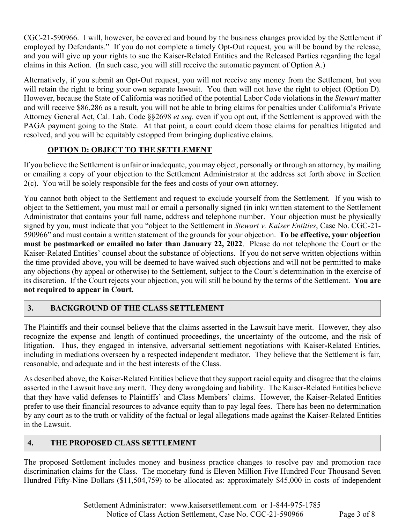CGC-21-590966. I will, however, be covered and bound by the business changes provided by the Settlement if employed by Defendants." If you do not complete a timely Opt-Out request, you will be bound by the release, and you will give up your rights to sue the Kaiser-Related Entities and the Released Parties regarding the legal claims in this Action. (In such case, you will still receive the automatic payment of Option A.)

Alternatively, if you submit an Opt-Out request, you will not receive any money from the Settlement, but you will retain the right to bring your own separate lawsuit. You then will not have the right to object (Option D). However, because the State of California was notified of the potential Labor Code violations in the *Stewart* matter and will receive \$86,286 as a result, you will not be able to bring claims for penalties under California's Private Attorney General Act, Cal. Lab. Code §§2698 *et seq.* even if you opt out, if the Settlement is approved with the PAGA payment going to the State. At that point, a court could deem those claims for penalties litigated and resolved, and you will be equitably estopped from bringing duplicative claims.

# **OPTION D: OBJECT TO THE SETTLEMENT**

If you believe the Settlement is unfair or inadequate, you may object, personally or through an attorney, by mailing or emailing a copy of your objection to the Settlement Administrator at the address set forth above in Section 2(c). You will be solely responsible for the fees and costs of your own attorney.

You cannot both object to the Settlement and request to exclude yourself from the Settlement. If you wish to object to the Settlement, you must mail or email a personally signed (in ink) written statement to the Settlement Administrator that contains your full name, address and telephone number. Your objection must be physically signed by you, must indicate that you "object to the Settlement in *Stewart v. Kaiser Entities*, Case No. CGC-21- 590966" and must contain a written statement of the grounds for your objection. **To be effective, your objection must be postmarked or emailed no later than January 22, 2022**. Please do not telephone the Court or the Kaiser-Related Entities' counsel about the substance of objections. If you do not serve written objections within the time provided above, you will be deemed to have waived such objections and will not be permitted to make any objections (by appeal or otherwise) to the Settlement, subject to the Court's determination in the exercise of its discretion. If the Court rejects your objection, you will still be bound by the terms of the Settlement. **You are not required to appear in Court.**

# **3. BACKGROUND OF THE CLASS SETTLEMENT**

The Plaintiffs and their counsel believe that the claims asserted in the Lawsuit have merit. However, they also recognize the expense and length of continued proceedings, the uncertainty of the outcome, and the risk of litigation. Thus, they engaged in intensive, adversarial settlement negotiations with Kaiser**-**Related Entities, including in mediations overseen by a respected independent mediator. They believe that the Settlement is fair, reasonable, and adequate and in the best interests of the Class.

As described above, the Kaiser-Related Entities believe that they support racial equity and disagree that the claims asserted in the Lawsuit have any merit. They deny wrongdoing and liability. The Kaiser-Related Entities believe that they have valid defenses to Plaintiffs' and Class Members' claims. However, the Kaiser-Related Entities prefer to use their financial resources to advance equity than to pay legal fees. There has been no determination by any court as to the truth or validity of the factual or legal allegations made against the Kaiser-Related Entities in the Lawsuit.

## **4. THE PROPOSED CLASS SETTLEMENT**

The proposed Settlement includes money and business practice changes to resolve pay and promotion race discrimination claims for the Class. The monetary fund is Eleven Million Five Hundred Four Thousand Seven Hundred Fifty-Nine Dollars (\$11,504,759) to be allocated as: approximately \$45,000 in costs of independent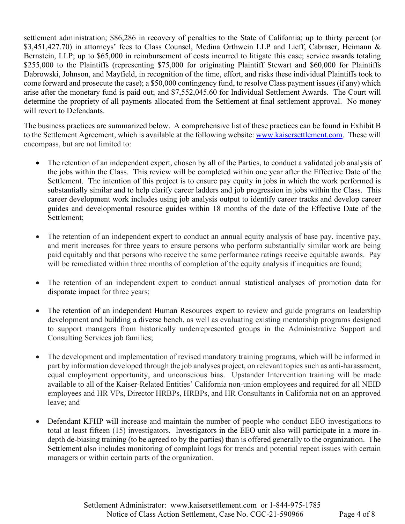settlement administration; \$86,286 in recovery of penalties to the State of California; up to thirty percent (or \$3,451,427.70) in attorneys' fees to Class Counsel, Medina Orthwein LLP and Lieff, Cabraser, Heimann & Bernstein, LLP; up to \$65,000 in reimbursement of costs incurred to litigate this case; service awards totaling \$255,000 to the Plaintiffs (representing \$75,000 for originating Plaintiff Stewart and \$60,000 for Plaintiffs Dabrowski, Johnson, and Mayfield, in recognition of the time, effort, and risks these individual Plaintiffs took to come forward and prosecute the case); a \$50,000 contingency fund, to resolve Class payment issues (if any) which arise after the monetary fund is paid out; and \$7,552,045.60 for Individual Settlement Awards. The Court will determine the propriety of all payments allocated from the Settlement at final settlement approval. No money will revert to Defendants.

The business practices are summarized below. A comprehensive list of these practices can be found in Exhibit B to the Settlement Agreement, which is available at the following website: www.kaisersettlement.com. These will encompass, but are not limited to:

- The retention of an independent expert, chosen by all of the Parties, to conduct a validated job analysis of the jobs within the Class. This review will be completed within one year after the Effective Date of the Settlement. The intention of this project is to ensure pay equity in jobs in which the work performed is substantially similar and to help clarify career ladders and job progression in jobs within the Class. This career development work includes using job analysis output to identify career tracks and develop career guides and developmental resource guides within 18 months of the date of the Effective Date of the Settlement;
- The retention of an independent expert to conduct an annual equity analysis of base pay, incentive pay, and merit increases for three years to ensure persons who perform substantially similar work are being paid equitably and that persons who receive the same performance ratings receive equitable awards. Pay will be remediated within three months of completion of the equity analysis if inequities are found;
- The retention of an independent expert to conduct annual statistical analyses of promotion data for disparate impact for three years;
- The retention of an independent Human Resources expert to review and guide programs on leadership development and building a diverse bench, as well as evaluating existing mentorship programs designed to support managers from historically underrepresented groups in the Administrative Support and Consulting Services job families;
- The development and implementation of revised mandatory training programs, which will be informed in part by information developed through the job analyses project, on relevant topics such as anti-harassment, equal employment opportunity, and unconscious bias. Upstander Intervention training will be made available to all of the Kaiser-Related Entities' California non-union employees and required for all NEID employees and HR VPs, Director HRBPs, HRBPs, and HR Consultants in California not on an approved leave; and
- Defendant KFHP will increase and maintain the number of people who conduct EEO investigations to total at least fifteen (15) investigators. Investigators in the EEO unit also will participate in a more indepth de-biasing training (to be agreed to by the parties) than is offered generally to the organization. The Settlement also includes monitoring of complaint logs for trends and potential repeat issues with certain managers or within certain parts of the organization.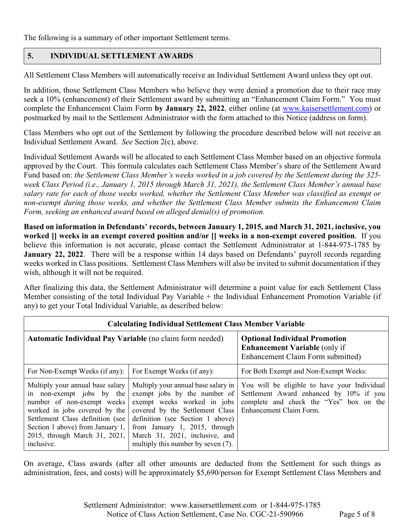The following is a summary of other important Settlement terms.

### **5. INDIVIDUAL SETTLEMENT AWARDS**

All Settlement Class Members will automatically receive an Individual Settlement Award unless they opt out.

In addition, those Settlement Class Members who believe they were denied a promotion due to their race may seek a 10% (enhancement) of their Settlement award by submitting an "Enhancement Claim Form." You must complete the Enhancement Claim Form **by January 22, 2022**, either online (at www.kaisersettlement.com) or postmarked by mail to the Settlement Administrator with the form attached to this Notice (address on form).

Class Members who opt out of the Settlement by following the procedure described below will not receive an Individual Settlement Award. *See* Section 2(c), above.

Individual Settlement Awards will be allocated to each Settlement Class Member based on an objective formula approved by the Court. This formula calculates each Settlement Class Member's share of the Settlement Award Fund based on: *the Settlement Class Member's weeks worked in a job covered by the Settlement during the 325 week Class Period (i.e., January 1, 2015 through March 31, 2021), the Settlement Class Member's annual base salary rate for each of those weeks worked, whether the Settlement Class Member was classified as exempt or non-exempt during those weeks, and whether the Settlement Class Member submits the Enhancement Claim Form, seeking an enhanced award based on alleged denial(s) of promotion.*

**Based on information in Defendants' records, between January 1, 2015, and March 31, 2021, inclusive, you worked [] weeks in an exempt covered position and/or [] weeks in a non-exempt covered position**. If you believe this information is not accurate, please contact the Settlement Administrator at 1-844-975-1785 by **January 22, 2022**. There will be a response within 14 days based on Defendants' payroll records regarding weeks worked in Class positions. Settlement Class Members will also be invited to submit documentation if they wish, although it will not be required.

After finalizing this data, the Settlement Administrator will determine a point value for each Settlement Class Member consisting of the total Individual Pay Variable + the Individual Enhancement Promotion Variable (if any) to get your Total Individual Variable, as described below:

| <b>Calculating Individual Settlement Class Member Variable</b>                                                                                                                                                                                      |                                                                                                                                                                                                                                                                                    |                                                                                                                                                               |  |  |
|-----------------------------------------------------------------------------------------------------------------------------------------------------------------------------------------------------------------------------------------------------|------------------------------------------------------------------------------------------------------------------------------------------------------------------------------------------------------------------------------------------------------------------------------------|---------------------------------------------------------------------------------------------------------------------------------------------------------------|--|--|
| <b>Automatic Individual Pay Variable (no claim form needed)</b>                                                                                                                                                                                     |                                                                                                                                                                                                                                                                                    | <b>Optional Individual Promotion</b><br><b>Enhancement Variable (only if</b><br>Enhancement Claim Form submitted)                                             |  |  |
| For Non-Exempt Weeks (if any):                                                                                                                                                                                                                      | For Exempt Weeks (if any):                                                                                                                                                                                                                                                         | For Both Exempt and Non-Exempt Weeks:                                                                                                                         |  |  |
| Multiply your annual base salary<br>in non-exempt jobs by the<br>number of non-exempt weeks<br>worked in jobs covered by the<br>Settlement Class definition (see<br>Section 1 above) from January 1,<br>2015, through March 31, 2021,<br>inclusive. | Multiply your annual base salary in<br>exempt jobs by the number of<br>exempt weeks worked in jobs<br>covered by the Settlement Class<br>definition (see Section 1 above)<br>from January 1, 2015, through<br>March 31, 2021, inclusive, and<br>multiply this number by seven (7). | You will be eligible to have your Individual<br>Settlement Award enhanced by 10% if you<br>complete and check the "Yes" box on the<br>Enhancement Claim Form. |  |  |

On average, Class awards (after all other amounts are deducted from the Settlement for such things as administration, fees, and costs) will be approximately \$5,690/person for Exempt Settlement Class Members and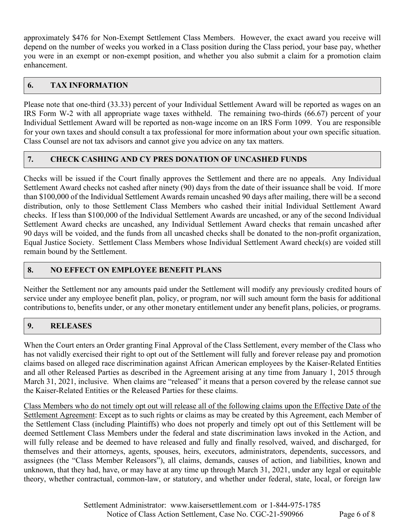approximately \$476 for Non-Exempt Settlement Class Members. However, the exact award you receive will depend on the number of weeks you worked in a Class position during the Class period, your base pay, whether you were in an exempt or non-exempt position, and whether you also submit a claim for a promotion claim enhancement.

## **6. TAX INFORMATION**

Please note that one-third (33.33) percent of your Individual Settlement Award will be reported as wages on an IRS Form W-2 with all appropriate wage taxes withheld. The remaining two-thirds (66.67) percent of your Individual Settlement Award will be reported as non-wage income on an IRS Form 1099. You are responsible for your own taxes and should consult a tax professional for more information about your own specific situation. Class Counsel are not tax advisors and cannot give you advice on any tax matters.

## **7. CHECK CASHING AND CY PRES DONATION OF UNCASHED FUNDS**

Checks will be issued if the Court finally approves the Settlement and there are no appeals. Any Individual Settlement Award checks not cashed after ninety (90) days from the date of their issuance shall be void. If more than \$100,000 of the Individual Settlement Awards remain uncashed 90 days after mailing, there will be a second distribution, only to those Settlement Class Members who cashed their initial Individual Settlement Award checks. If less than \$100,000 of the Individual Settlement Awards are uncashed, or any of the second Individual Settlement Award checks are uncashed, any Individual Settlement Award checks that remain uncashed after 90 days will be voided, and the funds from all uncashed checks shall be donated to the non-profit organization, Equal Justice Society. Settlement Class Members whose Individual Settlement Award check(s) are voided still remain bound by the Settlement.

## **8. NO EFFECT ON EMPLOYEE BENEFIT PLANS**

Neither the Settlement nor any amounts paid under the Settlement will modify any previously credited hours of service under any employee benefit plan, policy, or program, nor will such amount form the basis for additional contributions to, benefits under, or any other monetary entitlement under any benefit plans, policies, or programs.

## **9. RELEASES**

When the Court enters an Order granting Final Approval of the Class Settlement, every member of the Class who has not validly exercised their right to opt out of the Settlement will fully and forever release pay and promotion claims based on alleged race discrimination against African American employees by the Kaiser-Related Entities and all other Released Parties as described in the Agreement arising at any time from January 1, 2015 through March 31, 2021, inclusive. When claims are "released" it means that a person covered by the release cannot sue the Kaiser-Related Entities or the Released Parties for these claims.

Class Members who do not timely opt out will release all of the following claims upon the Effective Date of the Settlement Agreement: Except as to such rights or claims as may be created by this Agreement, each Member of the Settlement Class (including Plaintiffs) who does not properly and timely opt out of this Settlement will be deemed Settlement Class Members under the federal and state discrimination laws invoked in the Action, and will fully release and be deemed to have released and fully and finally resolved, waived, and discharged, for themselves and their attorneys, agents, spouses, heirs, executors, administrators, dependents, successors, and assignees (the "Class Member Releasors"), all claims, demands, causes of action, and liabilities, known and unknown, that they had, have, or may have at any time up through March 31, 2021, under any legal or equitable theory, whether contractual, common-law, or statutory, and whether under federal, state, local, or foreign law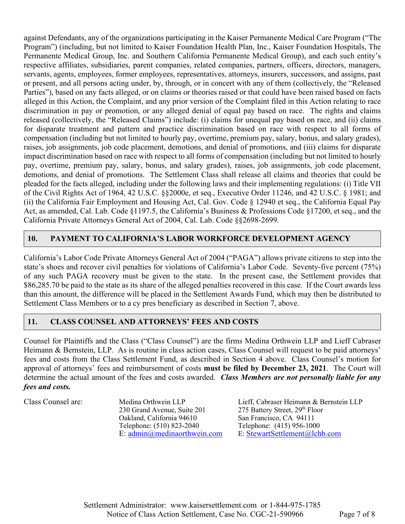against Defendants, any of the organizations participating in the Kaiser Permanente Medical Care Program ("The Program") (including, but not limited to Kaiser Foundation Health Plan, Inc., Kaiser Foundation Hospitals, The Permanente Medical Group, Inc. and Southern California Permanente Medical Group), and each such entity's respective affiliates, subsidiaries, parent companies, related companies, partners, officers, directors, managers, servants, agents, employees, former employees, representatives, attorneys, insurers, successors, and assigns, past or present, and all persons acting under, by, through, or in concert with any of them (collectively, the "Released Parties"), based on any facts alleged, or on claims or theories raised or that could have been raised based on facts alleged in this Action, the Complaint, and any prior version of the Complaint filed in this Action relating to race discrimination in pay or promotion, or any alleged denial of equal pay based on race. The rights and claims released (collectively, the "Released Claims") include: (i) claims for unequal pay based on race, and (ii) claims for disparate treatment and pattern and practice discrimination based on race with respect to all forms of compensation (including but not limited to hourly pay, overtime, premium pay, salary, bonus, and salary grades), raises, job assignments, job code placement, demotions, and denial of promotions, and (iii) claims for disparate impact discrimination based on race with respect to all forms of compensation (including but not limited to hourly pay, overtime, premium pay, salary, bonus, and salary grades), raises, job assignments, job code placement, demotions, and denial of promotions. The Settlement Class shall release all claims and theories that could be pleaded for the facts alleged, including under the following laws and their implementing regulations: (i) Title VII of the Civil Rights Act of 1964, 42 U.S.C. §§2000e, et seq., Executive Order 11246, and 42 U.S.C. § 1981; and (ii) the California Fair Employment and Housing Act, Cal. Gov. Code § 12940 et seq., the California Equal Pay Act, as amended, Cal. Lab. Code §1197.5, the California's Business & Professions Code §17200, et seq., and the California Private Attorneys General Act of 2004, Cal. Lab. Code §§2698-2699.

# **10. PAYMENT TO CALIFORNIA'S LABOR WORKFORCE DEVELOPMENT AGENCY**

California's Labor Code Private Attorneys General Act of 2004 ("PAGA") allows private citizens to step into the state's shoes and recover civil penalties for violations of California's Labor Code. Seventy-five percent (75%) of any such PAGA recovery must be given to the state. In the present case, the Settlement provides that \$86,285.70 be paid to the state as its share of the alleged penalties recovered in this case. If the Court awards less than this amount, the difference will be placed in the Settlement Awards Fund, which may then be distributed to Settlement Class Members or to a cy pres beneficiary as described in Section 7, above.

#### **11. CLASS COUNSEL AND ATTORNEYS' FEES AND COSTS**

Counsel for Plaintiffs and the Class ("Class Counsel") are the firms Medina Orthwein LLP and Lieff Cabraser Heimann & Bernstein, LLP. As is routine in class action cases, Class Counsel will request to be paid attorneys' fees and costs from the Class Settlement Fund, as described in Section 4 above. Class Counsel's motion for approval of attorneys' fees and reimbursement of costs **must be filed by December 23, 2021**. The Court will determine the actual amount of the fees and costs awarded. *Class Members are not personally liable for any fees and costs.*

230 Grand Avenue, Suite 201 275 Battery Street, 29<sup>th</sup> Floor<br>Oakland, California 94610 San Francisco, CA 94111 Oakland, California 94610 E: admin@medinaorthwein.com

Class Counsel are: Medina Orthwein LLP Lieff, Cabraser Heimann & Bernstein LLP Telephone: (510) 823-2040<br>
E: admin@medinaorthwein.com E: StewartSettlement@lchb.com